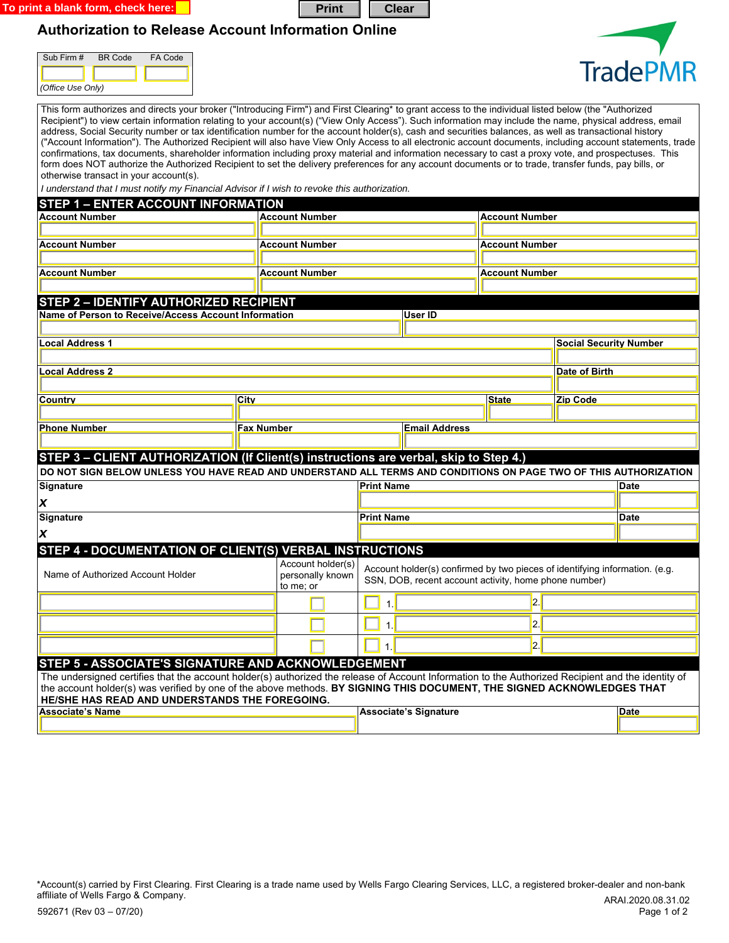**To print a blank form, check here:** 

## **Authorization to Release Account Information Online**

| Sub Firm #        | <b>BR</b> Code | FA Code |  |  |  |  |
|-------------------|----------------|---------|--|--|--|--|
|                   |                |         |  |  |  |  |
| (Office Use Only) |                |         |  |  |  |  |



| This form authorizes and directs your broker ("Introducing Firm") and First Clearing* to grant access to the individual listed below (the "Authorized<br>Recipient") to view certain information relating to your account(s) ("View Only Access"). Such information may include the name, physical address, email<br>address, Social Security number or tax identification number for the account holder(s), cash and securities balances, as well as transactional history<br>("Account Information"). The Authorized Recipient will also have View Only Access to all electronic account documents, including account statements, trade<br>confirmations, tax documents, shareholder information including proxy material and information necessary to cast a proxy vote, and prospectuses. This<br>form does NOT authorize the Authorized Recipient to set the delivery preferences for any account documents or to trade, transfer funds, pay bills, or<br>otherwise transact in your account(s). |            |                                                    |                                                                                                                                      |                         |                       |                               |      |  |
|-------------------------------------------------------------------------------------------------------------------------------------------------------------------------------------------------------------------------------------------------------------------------------------------------------------------------------------------------------------------------------------------------------------------------------------------------------------------------------------------------------------------------------------------------------------------------------------------------------------------------------------------------------------------------------------------------------------------------------------------------------------------------------------------------------------------------------------------------------------------------------------------------------------------------------------------------------------------------------------------------------|------------|----------------------------------------------------|--------------------------------------------------------------------------------------------------------------------------------------|-------------------------|-----------------------|-------------------------------|------|--|
| I understand that I must notify my Financial Advisor if I wish to revoke this authorization.                                                                                                                                                                                                                                                                                                                                                                                                                                                                                                                                                                                                                                                                                                                                                                                                                                                                                                          |            |                                                    |                                                                                                                                      |                         |                       |                               |      |  |
| <b>STEP 1 - ENTER ACCOUNT INFORMATION</b>                                                                                                                                                                                                                                                                                                                                                                                                                                                                                                                                                                                                                                                                                                                                                                                                                                                                                                                                                             |            |                                                    |                                                                                                                                      |                         |                       |                               |      |  |
| <b>Account Number</b>                                                                                                                                                                                                                                                                                                                                                                                                                                                                                                                                                                                                                                                                                                                                                                                                                                                                                                                                                                                 |            | <b>Account Number</b>                              |                                                                                                                                      |                         | <b>Account Number</b> |                               |      |  |
|                                                                                                                                                                                                                                                                                                                                                                                                                                                                                                                                                                                                                                                                                                                                                                                                                                                                                                                                                                                                       |            |                                                    |                                                                                                                                      |                         |                       |                               |      |  |
| <b>Account Number</b>                                                                                                                                                                                                                                                                                                                                                                                                                                                                                                                                                                                                                                                                                                                                                                                                                                                                                                                                                                                 |            | Account Number                                     |                                                                                                                                      |                         | <b>Account Number</b> |                               |      |  |
|                                                                                                                                                                                                                                                                                                                                                                                                                                                                                                                                                                                                                                                                                                                                                                                                                                                                                                                                                                                                       |            |                                                    |                                                                                                                                      |                         |                       |                               |      |  |
| <b>Account Number</b>                                                                                                                                                                                                                                                                                                                                                                                                                                                                                                                                                                                                                                                                                                                                                                                                                                                                                                                                                                                 |            | <b>Account Number</b>                              |                                                                                                                                      |                         | <b>Account Number</b> |                               |      |  |
|                                                                                                                                                                                                                                                                                                                                                                                                                                                                                                                                                                                                                                                                                                                                                                                                                                                                                                                                                                                                       |            |                                                    |                                                                                                                                      |                         |                       |                               |      |  |
| <b>STEP 2 - IDENTIFY AUTHORIZED RECIPIENT</b>                                                                                                                                                                                                                                                                                                                                                                                                                                                                                                                                                                                                                                                                                                                                                                                                                                                                                                                                                         |            |                                                    |                                                                                                                                      |                         |                       |                               |      |  |
| Name of Person to Receive/Access Account Information                                                                                                                                                                                                                                                                                                                                                                                                                                                                                                                                                                                                                                                                                                                                                                                                                                                                                                                                                  |            |                                                    |                                                                                                                                      | <b>User ID</b>          |                       |                               |      |  |
| ocal Address 1.                                                                                                                                                                                                                                                                                                                                                                                                                                                                                                                                                                                                                                                                                                                                                                                                                                                                                                                                                                                       |            |                                                    |                                                                                                                                      |                         |                       |                               |      |  |
|                                                                                                                                                                                                                                                                                                                                                                                                                                                                                                                                                                                                                                                                                                                                                                                                                                                                                                                                                                                                       |            |                                                    |                                                                                                                                      |                         |                       | <b>Social Security Number</b> |      |  |
|                                                                                                                                                                                                                                                                                                                                                                                                                                                                                                                                                                                                                                                                                                                                                                                                                                                                                                                                                                                                       |            |                                                    |                                                                                                                                      |                         |                       |                               |      |  |
| ocal Address 2                                                                                                                                                                                                                                                                                                                                                                                                                                                                                                                                                                                                                                                                                                                                                                                                                                                                                                                                                                                        |            |                                                    |                                                                                                                                      | Date of Birth           |                       |                               |      |  |
| <b>Country</b>                                                                                                                                                                                                                                                                                                                                                                                                                                                                                                                                                                                                                                                                                                                                                                                                                                                                                                                                                                                        | City       |                                                    |                                                                                                                                      | Zip Code                |                       |                               |      |  |
|                                                                                                                                                                                                                                                                                                                                                                                                                                                                                                                                                                                                                                                                                                                                                                                                                                                                                                                                                                                                       |            |                                                    |                                                                                                                                      | <b>State</b>            |                       |                               |      |  |
| <b>Phone Number</b>                                                                                                                                                                                                                                                                                                                                                                                                                                                                                                                                                                                                                                                                                                                                                                                                                                                                                                                                                                                   | Fax Number |                                                    |                                                                                                                                      | <b>Email Address</b>    |                       |                               |      |  |
|                                                                                                                                                                                                                                                                                                                                                                                                                                                                                                                                                                                                                                                                                                                                                                                                                                                                                                                                                                                                       |            |                                                    |                                                                                                                                      |                         |                       |                               |      |  |
| STEP 3 - CLIENT AUTHORIZATION (If Client(s) instructions are verbal, skip to Step 4.)                                                                                                                                                                                                                                                                                                                                                                                                                                                                                                                                                                                                                                                                                                                                                                                                                                                                                                                 |            |                                                    |                                                                                                                                      |                         |                       |                               |      |  |
| DO NOT SIGN BELOW UNLESS YOU HAVE READ AND UNDERSTAND ALL TERMS AND CONDITIONS ON PAGE TWO OF THIS AUTHORIZATION                                                                                                                                                                                                                                                                                                                                                                                                                                                                                                                                                                                                                                                                                                                                                                                                                                                                                      |            |                                                    |                                                                                                                                      |                         |                       |                               |      |  |
| Signature                                                                                                                                                                                                                                                                                                                                                                                                                                                                                                                                                                                                                                                                                                                                                                                                                                                                                                                                                                                             |            |                                                    | <b>Print Name</b>                                                                                                                    |                         |                       |                               | Date |  |
|                                                                                                                                                                                                                                                                                                                                                                                                                                                                                                                                                                                                                                                                                                                                                                                                                                                                                                                                                                                                       |            |                                                    |                                                                                                                                      |                         |                       |                               |      |  |
| $\pmb{\chi}$                                                                                                                                                                                                                                                                                                                                                                                                                                                                                                                                                                                                                                                                                                                                                                                                                                                                                                                                                                                          |            | <b>Print Name</b>                                  |                                                                                                                                      |                         | <b>Date</b>           |                               |      |  |
| Signature                                                                                                                                                                                                                                                                                                                                                                                                                                                                                                                                                                                                                                                                                                                                                                                                                                                                                                                                                                                             |            |                                                    |                                                                                                                                      |                         |                       |                               |      |  |
| $\boldsymbol{x}$                                                                                                                                                                                                                                                                                                                                                                                                                                                                                                                                                                                                                                                                                                                                                                                                                                                                                                                                                                                      |            |                                                    |                                                                                                                                      |                         |                       |                               |      |  |
| STEP 4 - DOCUMENTATION OF CLIENT(S) VERBAL INSTRUCTIONS                                                                                                                                                                                                                                                                                                                                                                                                                                                                                                                                                                                                                                                                                                                                                                                                                                                                                                                                               |            |                                                    |                                                                                                                                      |                         |                       |                               |      |  |
| Name of Authorized Account Holder                                                                                                                                                                                                                                                                                                                                                                                                                                                                                                                                                                                                                                                                                                                                                                                                                                                                                                                                                                     |            | Account holder(s)<br>personally known<br>to me; or | Account holder(s) confirmed by two pieces of identifying information. (e.g.<br>SSN, DOB, recent account activity, home phone number) |                         |                       |                               |      |  |
|                                                                                                                                                                                                                                                                                                                                                                                                                                                                                                                                                                                                                                                                                                                                                                                                                                                                                                                                                                                                       |            |                                                    | 1.                                                                                                                                   | $\overline{\mathbf{2}}$ |                       |                               |      |  |
|                                                                                                                                                                                                                                                                                                                                                                                                                                                                                                                                                                                                                                                                                                                                                                                                                                                                                                                                                                                                       |            |                                                    | 2.<br>1 <sub>1</sub>                                                                                                                 |                         |                       |                               |      |  |
|                                                                                                                                                                                                                                                                                                                                                                                                                                                                                                                                                                                                                                                                                                                                                                                                                                                                                                                                                                                                       |            |                                                    |                                                                                                                                      |                         |                       |                               |      |  |
|                                                                                                                                                                                                                                                                                                                                                                                                                                                                                                                                                                                                                                                                                                                                                                                                                                                                                                                                                                                                       |            | $\overline{\mathbf{2}}$ .<br>1.                    |                                                                                                                                      |                         |                       |                               |      |  |
| STEP 5 - ASSOCIATE'S SIGNATURE AND ACKNOWLEDGEMENT                                                                                                                                                                                                                                                                                                                                                                                                                                                                                                                                                                                                                                                                                                                                                                                                                                                                                                                                                    |            |                                                    |                                                                                                                                      |                         |                       |                               |      |  |
| The undersigned certifies that the account holder(s) authorized the release of Account Information to the Authorized Recipient and the identity of<br>the account holder(s) was verified by one of the above methods. BY SIGNING THIS DOCUMENT, THE SIGNED ACKNOWLEDGES THAT<br>HE/SHE HAS READ AND UNDERSTANDS THE FOREGOING.                                                                                                                                                                                                                                                                                                                                                                                                                                                                                                                                                                                                                                                                        |            |                                                    |                                                                                                                                      |                         |                       |                               |      |  |
| <b>Associate's Name</b>                                                                                                                                                                                                                                                                                                                                                                                                                                                                                                                                                                                                                                                                                                                                                                                                                                                                                                                                                                               |            | <b>Associate's Signature</b>                       |                                                                                                                                      |                         |                       | Date                          |      |  |
|                                                                                                                                                                                                                                                                                                                                                                                                                                                                                                                                                                                                                                                                                                                                                                                                                                                                                                                                                                                                       |            |                                                    |                                                                                                                                      |                         |                       |                               |      |  |
|                                                                                                                                                                                                                                                                                                                                                                                                                                                                                                                                                                                                                                                                                                                                                                                                                                                                                                                                                                                                       |            |                                                    |                                                                                                                                      |                         |                       |                               |      |  |